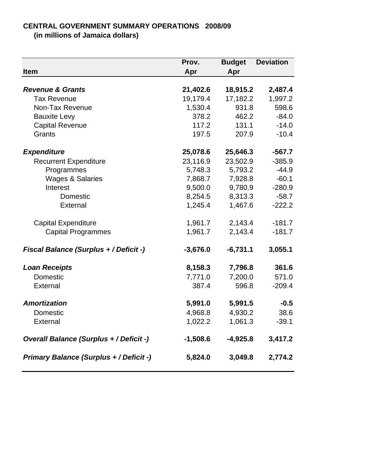## **CENTRAL GOVERNMENT SUMMARY OPERATIONS 2008/09**

**(in millions of Jamaica dollars)**

| Item                                           | Prov.<br>Apr | <b>Budget</b><br>Apr | <b>Deviation</b> |
|------------------------------------------------|--------------|----------------------|------------------|
| <b>Revenue &amp; Grants</b>                    | 21,402.6     | 18,915.2             | 2,487.4          |
| <b>Tax Revenue</b>                             | 19,179.4     | 17,182.2             | 1,997.2          |
| Non-Tax Revenue                                | 1,530.4      | 931.8                | 598.6            |
| <b>Bauxite Levy</b>                            | 378.2        | 462.2                | $-84.0$          |
| <b>Capital Revenue</b>                         | 117.2        | 131.1                | $-14.0$          |
| Grants                                         | 197.5        | 207.9                | $-10.4$          |
| <b>Expenditure</b>                             | 25,078.6     | 25,646.3             | $-567.7$         |
| <b>Recurrent Expenditure</b>                   | 23,116.9     | 23,502.9             | $-385.9$         |
| Programmes                                     | 5,748.3      | 5,793.2              | $-44.9$          |
| <b>Wages &amp; Salaries</b>                    | 7,868.7      | 7,928.8              | $-60.1$          |
| Interest                                       | 9,500.0      | 9,780.9              | $-280.9$         |
| Domestic                                       | 8,254.5      | 8,313.3              | $-58.7$          |
| External                                       | 1,245.4      | 1,467.6              | $-222.2$         |
| <b>Capital Expenditure</b>                     | 1,961.7      | 2,143.4              | $-181.7$         |
| <b>Capital Programmes</b>                      | 1,961.7      | 2,143.4              | $-181.7$         |
| <b>Fiscal Balance (Surplus + / Deficit -)</b>  | $-3,676.0$   | $-6,731.1$           | 3,055.1          |
| <b>Loan Receipts</b>                           | 8,158.3      | 7,796.8              | 361.6            |
| Domestic                                       | 7,771.0      | 7,200.0              | 571.0            |
| External                                       | 387.4        | 596.8                | $-209.4$         |
| <b>Amortization</b>                            | 5,991.0      | 5,991.5              | $-0.5$           |
| Domestic                                       | 4,968.8      | 4,930.2              | 38.6             |
| External                                       | 1,022.2      | 1,061.3              | $-39.1$          |
| <b>Overall Balance (Surplus + / Deficit -)</b> | $-1,508.6$   | $-4,925.8$           | 3,417.2          |
| <b>Primary Balance (Surplus + / Deficit -)</b> | 5,824.0      | 3,049.8              | 2,774.2          |